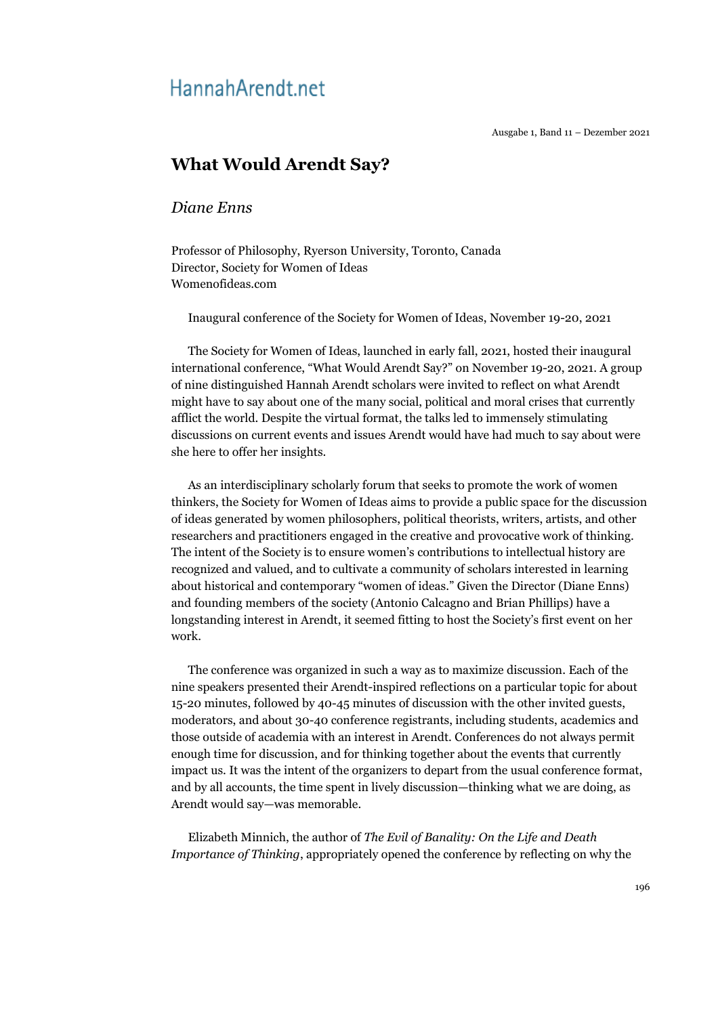## Hannah Arendt.net

Ausgabe 1, Band 11 – Dezember 2021

## **What Would Arendt Say?**

## *Diane Enns*

Professor of Philosophy, Ryerson University, Toronto, Canada Director, Society for Women of Ideas Womenofideas.com

Inaugural conference of the Society for Women of Ideas, November 19-20, 2021

The Society for Women of Ideas, launched in early fall, 2021, hosted their inaugural international conference, "What Would Arendt Say?" on November 19-20, 2021. A group of nine distinguished Hannah Arendt scholars were invited to reflect on what Arendt might have to say about one of the many social, political and moral crises that currently afflict the world. Despite the virtual format, the talks led to immensely stimulating discussions on current events and issues Arendt would have had much to say about were she here to offer her insights.

As an interdisciplinary scholarly forum that seeks to promote the work of women thinkers, the Society for Women of Ideas aims to provide a public space for the discussion of ideas generated by women philosophers, political theorists, writers, artists, and other researchers and practitioners engaged in the creative and provocative work of thinking. The intent of the Society is to ensure women's contributions to intellectual history are recognized and valued, and to cultivate a community of scholars interested in learning about historical and contemporary "women of ideas." Given the Director (Diane Enns) and founding members of the society (Antonio Calcagno and Brian Phillips) have a longstanding interest in Arendt, it seemed fitting to host the Society's first event on her work.

The conference was organized in such a way as to maximize discussion. Each of the nine speakers presented their Arendt-inspired reflections on a particular topic for about 15-20 minutes, followed by 40-45 minutes of discussion with the other invited guests, moderators, and about 30-40 conference registrants, including students, academics and those outside of academia with an interest in Arendt. Conferences do not always permit enough time for discussion, and for thinking together about the events that currently impact us. It was the intent of the organizers to depart from the usual conference format, and by all accounts, the time spent in lively discussion—thinking what we are doing, as Arendt would say—was memorable.

Elizabeth Minnich, the author of *The Evil of Banality: On the Life and Death Importance of Thinking*, appropriately opened the conference by reflecting on why the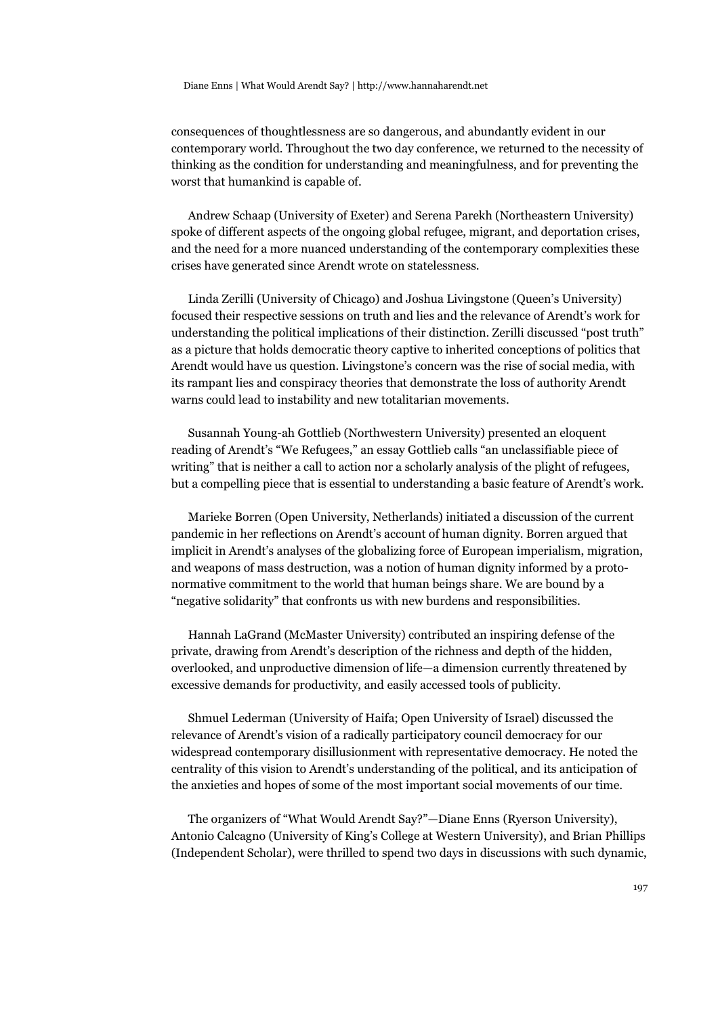consequences of thoughtlessness are so dangerous, and abundantly evident in our contemporary world. Throughout the two day conference, we returned to the necessity of thinking as the condition for understanding and meaningfulness, and for preventing the worst that humankind is capable of.

Andrew Schaap (University of Exeter) and Serena Parekh (Northeastern University) spoke of different aspects of the ongoing global refugee, migrant, and deportation crises, and the need for a more nuanced understanding of the contemporary complexities these crises have generated since Arendt wrote on statelessness.

Linda Zerilli (University of Chicago) and Joshua Livingstone (Queen's University) focused their respective sessions on truth and lies and the relevance of Arendt's work for understanding the political implications of their distinction. Zerilli discussed "post truth" as a picture that holds democratic theory captive to inherited conceptions of politics that Arendt would have us question. Livingstone's concern was the rise of social media, with its rampant lies and conspiracy theories that demonstrate the loss of authority Arendt warns could lead to instability and new totalitarian movements.

Susannah Young-ah Gottlieb (Northwestern University) presented an eloquent reading of Arendt's "We Refugees," an essay Gottlieb calls "an unclassifiable piece of writing" that is neither a call to action nor a scholarly analysis of the plight of refugees, but a compelling piece that is essential to understanding a basic feature of Arendt's work.

Marieke Borren (Open University, Netherlands) initiated a discussion of the current pandemic in her reflections on Arendt's account of human dignity. Borren argued that implicit in Arendt's analyses of the globalizing force of European imperialism, migration, and weapons of mass destruction, was a notion of human dignity informed by a protonormative commitment to the world that human beings share. We are bound by a "negative solidarity" that confronts us with new burdens and responsibilities.

Hannah LaGrand (McMaster University) contributed an inspiring defense of the private, drawing from Arendt's description of the richness and depth of the hidden, overlooked, and unproductive dimension of life—a dimension currently threatened by excessive demands for productivity, and easily accessed tools of publicity.

Shmuel Lederman (University of Haifa; Open University of Israel) discussed the relevance of Arendt's vision of a radically participatory council democracy for our widespread contemporary disillusionment with representative democracy. He noted the centrality of this vision to Arendt's understanding of the political, and its anticipation of the anxieties and hopes of some of the most important social movements of our time.

The organizers of "What Would Arendt Say?"—Diane Enns (Ryerson University), Antonio Calcagno (University of King's College at Western University), and Brian Phillips (Independent Scholar), were thrilled to spend two days in discussions with such dynamic,